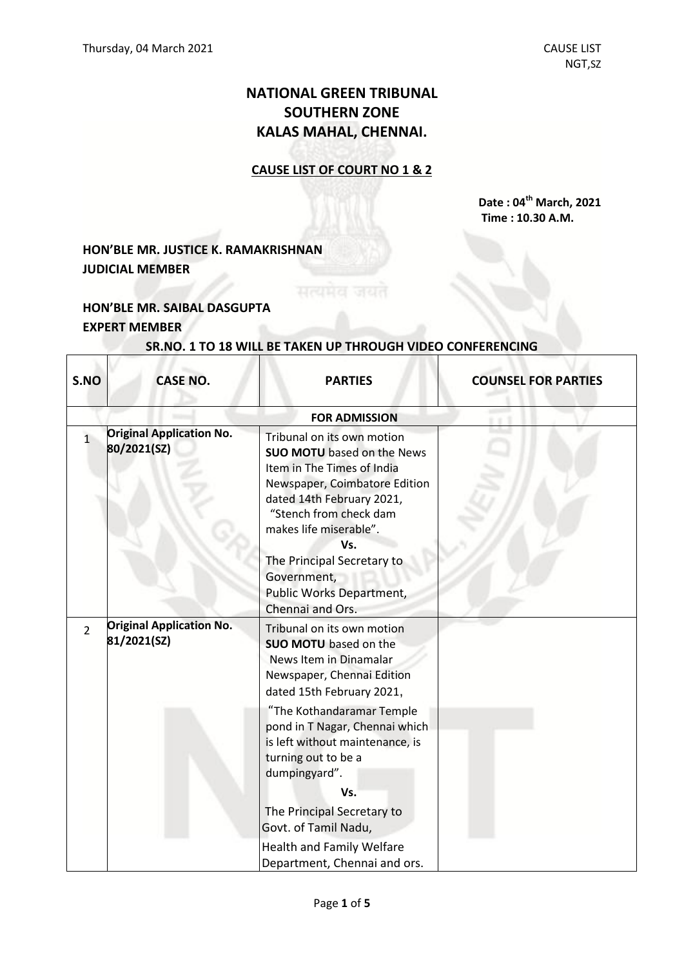# **NATIONAL GREEN TRIBUNAL SOUTHERN ZONE KALAS MAHAL, CHENNAI.**

### **CAUSE LIST OF COURT NO 1 & 2**

**Date : 04 th March, 2021 Time : 10.30 A.M.**

# **HON'BLE MR. JUSTICE K. RAMAKRISHNAN JUDICIAL MEMBER**

## **HON'BLE MR. SAIBAL DASGUPTA EXPERT MEMBER**

 $\Gamma$ 

Τ

# **SR.NO. 1 TO 18 WILL BE TAKEN UP THROUGH VIDEO CONFERENCING**

| S.NO           | <b>CASE NO.</b>                                | <b>PARTIES</b>                                                                                                                                                                                                                                                                                                                                         | <b>COUNSEL FOR PARTIES</b> |
|----------------|------------------------------------------------|--------------------------------------------------------------------------------------------------------------------------------------------------------------------------------------------------------------------------------------------------------------------------------------------------------------------------------------------------------|----------------------------|
|                |                                                | <b>FOR ADMISSION</b>                                                                                                                                                                                                                                                                                                                                   |                            |
| $\overline{1}$ | <b>Original Application No.</b><br>80/2021(SZ) | Tribunal on its own motion<br><b>SUO MOTU</b> based on the News<br>Item in The Times of India<br>Newspaper, Coimbatore Edition<br>dated 14th February 2021,<br>"Stench from check dam<br>makes life miserable".<br>Vs.<br>The Principal Secretary to<br>Government,<br>Public Works Department,<br>Chennai and Ors.                                    |                            |
| $\overline{2}$ | <b>Original Application No.</b><br>81/2021(SZ) | Tribunal on its own motion<br><b>SUO MOTU</b> based on the<br>News Item in Dinamalar<br>Newspaper, Chennai Edition<br>dated 15th February 2021,<br>"The Kothandaramar Temple<br>pond in T Nagar, Chennai which<br>is left without maintenance, is<br>turning out to be a<br>dumpingyard".<br>Vs.<br>The Principal Secretary to<br>Govt. of Tamil Nadu, |                            |
|                |                                                | <b>Health and Family Welfare</b><br>Department, Chennai and ors.                                                                                                                                                                                                                                                                                       |                            |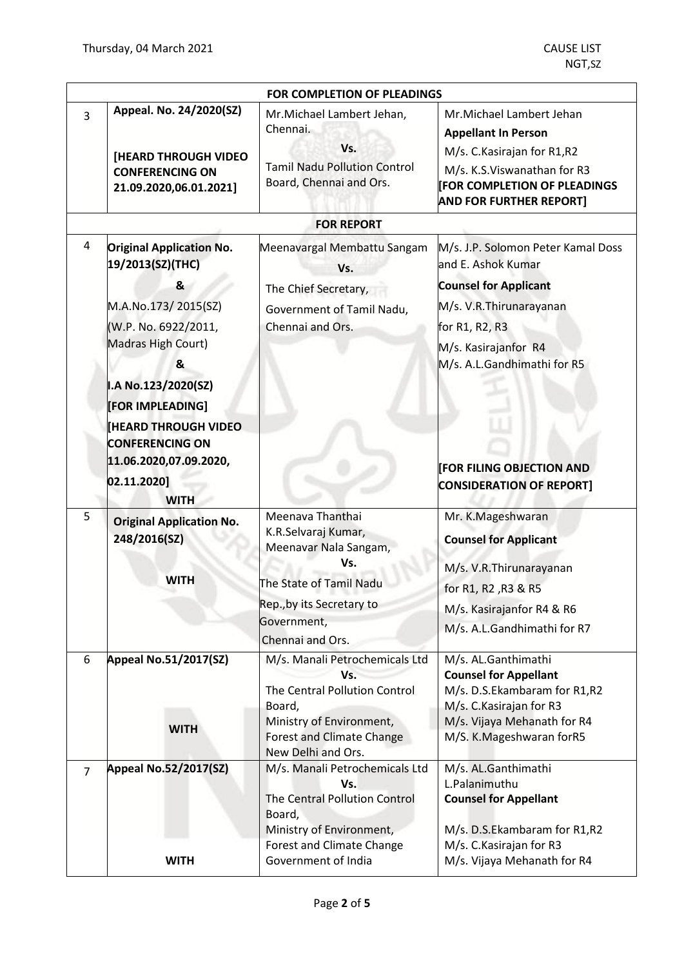| FOR COMPLETION OF PLEADINGS |                                                                                                                                                                                                                                                                 |                                                                                                                                                                        |                                                                                                                                                                                                                                  |
|-----------------------------|-----------------------------------------------------------------------------------------------------------------------------------------------------------------------------------------------------------------------------------------------------------------|------------------------------------------------------------------------------------------------------------------------------------------------------------------------|----------------------------------------------------------------------------------------------------------------------------------------------------------------------------------------------------------------------------------|
| $\overline{3}$              | Appeal. No. 24/2020(SZ)<br>[HEARD THROUGH VIDEO<br><b>CONFERENCING ON</b><br>21.09.2020,06.01.2021]                                                                                                                                                             | Mr.Michael Lambert Jehan,<br>Chennai.<br>Vs.<br><b>Tamil Nadu Pollution Control</b><br>Board, Chennai and Ors.                                                         | Mr.Michael Lambert Jehan<br><b>Appellant In Person</b><br>M/s. C. Kasirajan for R1,R2<br>M/s. K.S. Viswanathan for R3<br><b>FOR COMPLETION OF PLEADINGS</b><br><b>AND FOR FURTHER REPORT]</b>                                    |
|                             |                                                                                                                                                                                                                                                                 | <b>FOR REPORT</b>                                                                                                                                                      |                                                                                                                                                                                                                                  |
| 4                           | <b>Original Application No.</b><br>19/2013(SZ)(THC)<br>&<br>M.A.No.173/2015(SZ)<br>(W.P. No. 6922/2011,<br>Madras High Court)<br>&<br>I.A No.123/2020(SZ)<br>[FOR IMPLEADING]<br><b>HEARD THROUGH VIDEO</b><br><b>CONFERENCING ON</b><br>11.06.2020,07.09.2020, | Meenavargal Membattu Sangam<br>Vs.<br>The Chief Secretary,<br>Government of Tamil Nadu,<br>Chennai and Ors.                                                            | M/s. J.P. Solomon Peter Kamal Doss<br>and E. Ashok Kumar<br><b>Counsel for Applicant</b><br>M/s. V.R. Thirunarayanan<br>for R1, R2, R3<br>M/s. Kasirajanfor R4<br>M/s. A.L.Gandhimathi for R5<br><b>FOR FILING OBJECTION AND</b> |
|                             | 02.11.2020]<br><b>WITH</b>                                                                                                                                                                                                                                      |                                                                                                                                                                        | <b>CONSIDERATION OF REPORT]</b>                                                                                                                                                                                                  |
| 5                           | <b>Original Application No.</b><br>248/2016(SZ)<br>WITH                                                                                                                                                                                                         | Meenava Thanthai<br>K.R.Selvaraj Kumar,<br>Meenavar Nala Sangam,<br>Vs.<br>The State of Tamil Nadu                                                                     | Mr. K.Mageshwaran<br><b>Counsel for Applicant</b><br>M/s. V.R. Thirunarayanan                                                                                                                                                    |
|                             |                                                                                                                                                                                                                                                                 | Rep., by its Secretary to<br>Government,<br>Chennai and Ors.                                                                                                           | for R1, R2, R3 & R5<br>M/s. Kasirajanfor R4 & R6<br>M/s. A.L.Gandhimathi for R7                                                                                                                                                  |
| 6                           | <b>Appeal No.51/2017(SZ)</b><br><b>WITH</b>                                                                                                                                                                                                                     | M/s. Manali Petrochemicals Ltd<br>Vs.<br>The Central Pollution Control<br>Board,<br>Ministry of Environment,<br><b>Forest and Climate Change</b><br>New Delhi and Ors. | M/s. AL.Ganthimathi<br><b>Counsel for Appellant</b><br>M/s. D.S.Ekambaram for R1,R2<br>M/s. C. Kasirajan for R3<br>M/s. Vijaya Mehanath for R4<br>M/S. K.Mageshwaran forR5                                                       |
| $\overline{7}$              | <b>Appeal No.52/2017(SZ)</b>                                                                                                                                                                                                                                    | M/s. Manali Petrochemicals Ltd<br>Vs.<br>The Central Pollution Control<br>Board,<br>Ministry of Environment,                                                           | M/s. AL.Ganthimathi<br>L.Palanimuthu<br><b>Counsel for Appellant</b><br>M/s. D.S.Ekambaram for R1,R2                                                                                                                             |
|                             | <b>WITH</b>                                                                                                                                                                                                                                                     | <b>Forest and Climate Change</b><br>Government of India                                                                                                                | M/s. C. Kasirajan for R3<br>M/s. Vijaya Mehanath for R4                                                                                                                                                                          |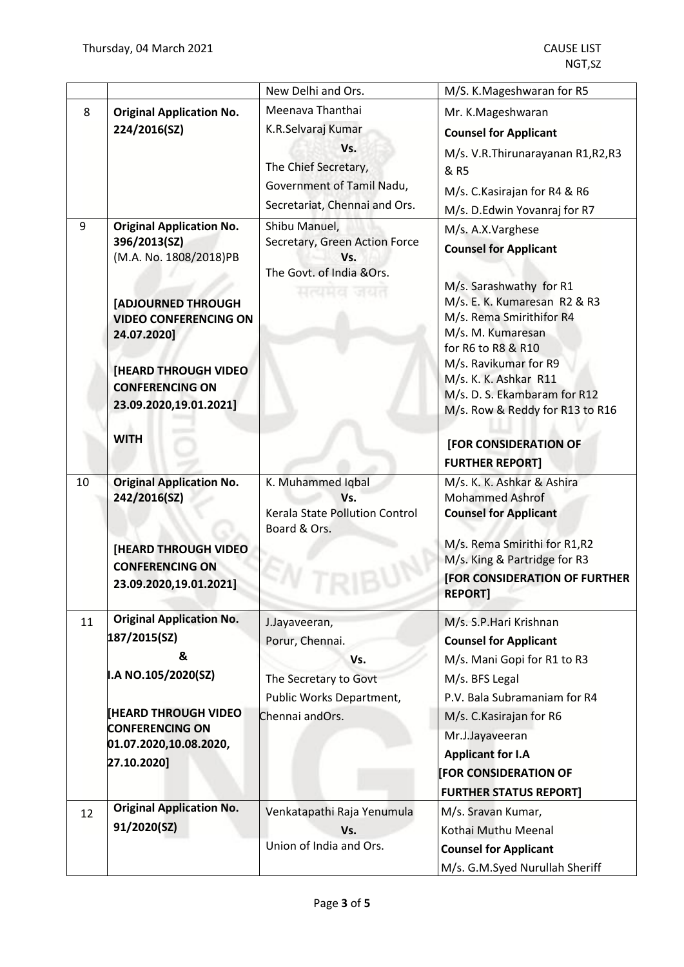|        |                                                                                                                                                                                    | New Delhi and Ors.                                                                                                                                                                                                                     | M/S. K.Mageshwaran for R5                                                                                                                                                                                                                                                                                  |
|--------|------------------------------------------------------------------------------------------------------------------------------------------------------------------------------------|----------------------------------------------------------------------------------------------------------------------------------------------------------------------------------------------------------------------------------------|------------------------------------------------------------------------------------------------------------------------------------------------------------------------------------------------------------------------------------------------------------------------------------------------------------|
| 8<br>9 | <b>Original Application No.</b><br>224/2016(SZ)<br><b>Original Application No.</b><br>396/2013(SZ)<br>(M.A. No. 1808/2018)PB<br>[ADJOURNED THROUGH<br><b>VIDEO CONFERENCING ON</b> | Meenava Thanthai<br>K.R.Selvaraj Kumar<br>Vs.<br>The Chief Secretary,<br>Government of Tamil Nadu,<br>Secretariat, Chennai and Ors.<br>Shibu Manuel,<br>Secretary, Green Action Force<br>Vs.<br>The Govt. of India &Ors.<br>मत्यमत जयत | Mr. K.Mageshwaran<br><b>Counsel for Applicant</b><br>M/s. V.R.Thirunarayanan R1,R2,R3<br>& R5<br>M/s. C. Kasirajan for R4 & R6<br>M/s. D.Edwin Yovanraj for R7<br>M/s. A.X.Varghese<br><b>Counsel for Applicant</b><br>M/s. Sarashwathy for R1<br>M/s. E. K. Kumaresan R2 & R3<br>M/s. Rema Smirithifor R4 |
|        | 24.07.2020]<br><b>[HEARD THROUGH VIDEO</b><br><b>CONFERENCING ON</b><br>23.09.2020,19.01.2021]                                                                                     |                                                                                                                                                                                                                                        | M/s. M. Kumaresan<br>for R6 to R8 & R10<br>M/s. Ravikumar for R9<br>M/s. K. K. Ashkar R11<br>M/s. D. S. Ekambaram for R12<br>M/s. Row & Reddy for R13 to R16                                                                                                                                               |
|        | <b>WITH</b>                                                                                                                                                                        |                                                                                                                                                                                                                                        | [FOR CONSIDERATION OF<br><b>FURTHER REPORT]</b>                                                                                                                                                                                                                                                            |
| 10     | <b>Original Application No.</b><br>242/2016(SZ)                                                                                                                                    | K. Muhammed Iqbal<br>Vs.<br>Kerala State Pollution Control<br>Board & Ors.                                                                                                                                                             | M/s. K. K. Ashkar & Ashira<br><b>Mohammed Ashrof</b><br><b>Counsel for Applicant</b>                                                                                                                                                                                                                       |
|        | <b>[HEARD THROUGH VIDEO</b><br><b>CONFERENCING ON</b><br>23.09.2020,19.01.2021]                                                                                                    |                                                                                                                                                                                                                                        | M/s. Rema Smirithi for R1,R2<br>M/s. King & Partridge for R3<br>[FOR CONSIDERATION OF FURTHER<br><b>REPORT]</b>                                                                                                                                                                                            |
| 11     | <b>Original Application No.</b><br>187/2015(SZ)<br>&<br>I.A NO.105/2020(SZ)                                                                                                        | J.Jayaveeran,<br>Porur, Chennai.<br>Vs.<br>The Secretary to Govt<br>Public Works Department,                                                                                                                                           | M/s. S.P. Hari Krishnan<br><b>Counsel for Applicant</b><br>M/s. Mani Gopi for R1 to R3<br>M/s. BFS Legal<br>P.V. Bala Subramaniam for R4                                                                                                                                                                   |
|        | <b>[HEARD THROUGH VIDEO</b><br><b>CONFERENCING ON</b><br>01.07.2020,10.08.2020,<br>27.10.2020]                                                                                     | Chennai andOrs.                                                                                                                                                                                                                        | M/s. C. Kasirajan for R6<br>Mr.J.Jayaveeran<br><b>Applicant for I.A</b><br><b>FOR CONSIDERATION OF</b><br><b>FURTHER STATUS REPORT]</b>                                                                                                                                                                    |
| 12     | <b>Original Application No.</b><br>91/2020(SZ)                                                                                                                                     | Venkatapathi Raja Yenumula<br>Vs.<br>Union of India and Ors.                                                                                                                                                                           | M/s. Sravan Kumar,<br>Kothai Muthu Meenal<br><b>Counsel for Applicant</b><br>M/s. G.M.Syed Nurullah Sheriff                                                                                                                                                                                                |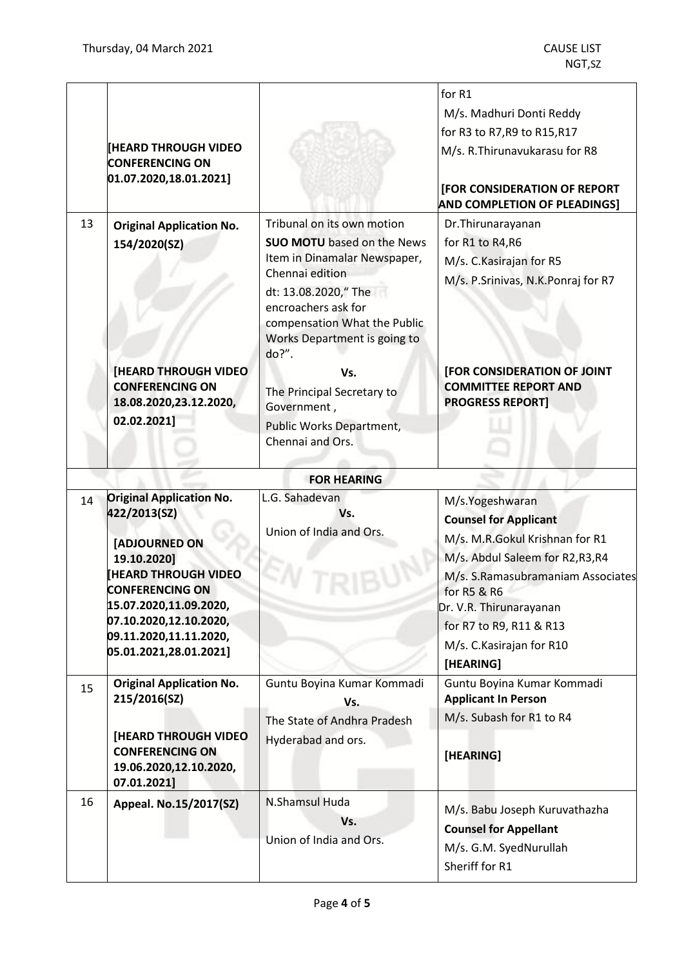|    | <b>[HEARD THROUGH VIDEO</b><br><b>CONFERENCING ON</b><br>[01.07.2020, 18.01.2021]                                                                                                                                                               |                                                                                                                                                                                                                                            | for R1<br>M/s. Madhuri Donti Reddy<br>for R3 to R7, R9 to R15, R17<br>M/s. R. Thirunavukarasu for R8<br>[FOR CONSIDERATION OF REPORT<br><b>AND COMPLETION OF PLEADINGS]</b>                                                                                             |
|----|-------------------------------------------------------------------------------------------------------------------------------------------------------------------------------------------------------------------------------------------------|--------------------------------------------------------------------------------------------------------------------------------------------------------------------------------------------------------------------------------------------|-------------------------------------------------------------------------------------------------------------------------------------------------------------------------------------------------------------------------------------------------------------------------|
| 13 | <b>Original Application No.</b><br>154/2020(SZ)                                                                                                                                                                                                 | Tribunal on its own motion<br><b>SUO MOTU</b> based on the News<br>Item in Dinamalar Newspaper,<br>Chennai edition<br>dt: 13.08.2020," The<br>encroachers ask for<br>compensation What the Public<br>Works Department is going to<br>do?". | Dr.Thirunarayanan<br>for R1 to R4, R6<br>M/s. C. Kasirajan for R5<br>M/s. P.Srinivas, N.K.Ponraj for R7                                                                                                                                                                 |
|    | <b>[HEARD THROUGH VIDEO</b><br><b>CONFERENCING ON</b><br>18.08.2020,23.12.2020,<br>02.02.2021]                                                                                                                                                  | Vs.<br>The Principal Secretary to<br>Government,<br><b>Public Works Department,</b><br>Chennai and Ors.                                                                                                                                    | <b>[FOR CONSIDERATION OF JOINT</b><br><b>COMMITTEE REPORT AND</b><br><b>PROGRESS REPORT]</b>                                                                                                                                                                            |
|    |                                                                                                                                                                                                                                                 | <b>FOR HEARING</b>                                                                                                                                                                                                                         |                                                                                                                                                                                                                                                                         |
| 14 | <b>Original Application No.</b><br>422/2013(SZ)<br>[ADJOURNED ON<br>19.10.2020]<br><b>HEARD THROUGH VIDEO</b><br><b>CONFERENCING ON</b><br>15.07.2020,11.09.2020,<br>07.10.2020,12.10.2020,<br>09.11.2020,11.11.2020,<br>05.01.2021,28.01.2021] | L.G. Sahadevan<br>Vs.<br>Union of India and Ors.                                                                                                                                                                                           | M/s.Yogeshwaran<br><b>Counsel for Applicant</b><br>M/s. M.R.Gokul Krishnan for R1<br>M/s. Abdul Saleem for R2,R3,R4<br>M/s. S.Ramasubramaniam Associates<br>for R5 & R6<br>Dr. V.R. Thirunarayanan<br>for R7 to R9, R11 & R13<br>M/s. C. Kasirajan for R10<br>[HEARING] |
| 15 | <b>Original Application No.</b><br>215/2016(SZ)<br>[HEARD THROUGH VIDEO<br><b>CONFERENCING ON</b><br>19.06.2020,12.10.2020,<br>07.01.2021]                                                                                                      | Guntu Boyina Kumar Kommadi<br>Vs.<br>The State of Andhra Pradesh<br>Hyderabad and ors.                                                                                                                                                     | Guntu Boyina Kumar Kommadi<br><b>Applicant In Person</b><br>M/s. Subash for R1 to R4<br>[HEARING]                                                                                                                                                                       |
| 16 | Appeal. No.15/2017(SZ)                                                                                                                                                                                                                          | N.Shamsul Huda<br>Vs.<br>Union of India and Ors.                                                                                                                                                                                           | M/s. Babu Joseph Kuruvathazha<br><b>Counsel for Appellant</b><br>M/s. G.M. SyedNurullah<br>Sheriff for R1                                                                                                                                                               |